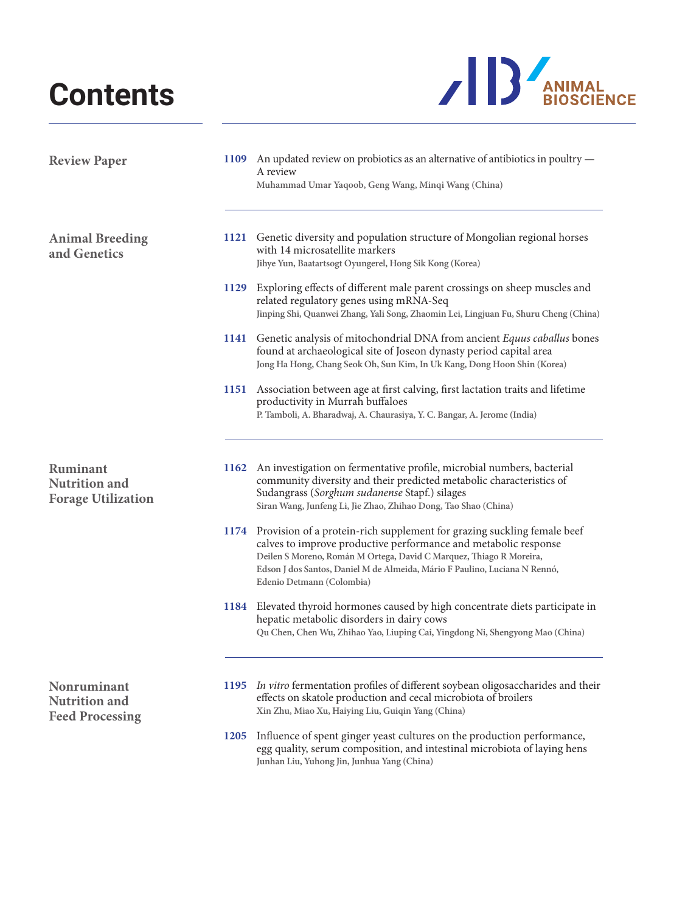## **Contents**



| <b>Review Paper</b>                                           |             | 1109 An updated review on probiotics as an alternative of antibiotics in poultry -<br>A review<br>Muhammad Umar Yaqoob, Geng Wang, Minqi Wang (China)                                                                                                                                                                             |
|---------------------------------------------------------------|-------------|-----------------------------------------------------------------------------------------------------------------------------------------------------------------------------------------------------------------------------------------------------------------------------------------------------------------------------------|
| <b>Animal Breeding</b><br>and Genetics                        |             | 1121 Genetic diversity and population structure of Mongolian regional horses<br>with 14 microsatellite markers<br>Jihye Yun, Baatartsogt Oyungerel, Hong Sik Kong (Korea)                                                                                                                                                         |
|                                                               | 1129        | Exploring effects of different male parent crossings on sheep muscles and<br>related regulatory genes using mRNA-Seq<br>Jinping Shi, Quanwei Zhang, Yali Song, Zhaomin Lei, Lingjuan Fu, Shuru Cheng (China)                                                                                                                      |
|                                                               |             | 1141 Genetic analysis of mitochondrial DNA from ancient Equus caballus bones<br>found at archaeological site of Joseon dynasty period capital area<br>Jong Ha Hong, Chang Seok Oh, Sun Kim, In Uk Kang, Dong Hoon Shin (Korea)                                                                                                    |
|                                                               | 1151        | Association between age at first calving, first lactation traits and lifetime<br>productivity in Murrah buffaloes<br>P. Tamboli, A. Bharadwaj, A. Chaurasiya, Y. C. Bangar, A. Jerome (India)                                                                                                                                     |
| Ruminant<br><b>Nutrition and</b><br><b>Forage Utilization</b> | 1162        | An investigation on fermentative profile, microbial numbers, bacterial<br>community diversity and their predicted metabolic characteristics of<br>Sudangrass (Sorghum sudanense Stapf.) silages<br>Siran Wang, Junfeng Li, Jie Zhao, Zhihao Dong, Tao Shao (China)                                                                |
|                                                               |             | 1174 Provision of a protein-rich supplement for grazing suckling female beef<br>calves to improve productive performance and metabolic response<br>Deilen S Moreno, Román M Ortega, David C Marquez, Thiago R Moreira,<br>Edson J dos Santos, Daniel M de Almeida, Mário F Paulino, Luciana N Rennó,<br>Edenio Detmann (Colombia) |
|                                                               |             | 1184 Elevated thyroid hormones caused by high concentrate diets participate in<br>hepatic metabolic disorders in dairy cows<br>Qu Chen, Chen Wu, Zhihao Yao, Liuping Cai, Yingdong Ni, Shengyong Mao (China)                                                                                                                      |
| Nonruminant<br><b>Nutrition</b> and<br><b>Feed Processing</b> | 1195        | In vitro fermentation profiles of different soybean oligosaccharides and their<br>effects on skatole production and cecal microbiota of broilers<br>Xin Zhu, Miao Xu, Haiying Liu, Guiqin Yang (China)                                                                                                                            |
|                                                               | <b>1205</b> | Influence of spent ginger yeast cultures on the production performance,<br>egg quality, serum composition, and intestinal microbiota of laying hens<br>Junhan Liu, Yuhong Jin, Junhua Yang (China)                                                                                                                                |